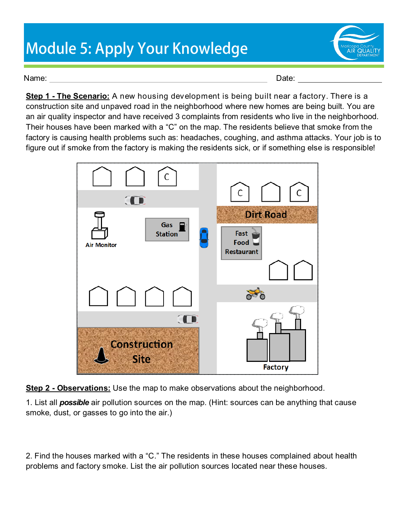## **Module 5: Apply Your Knowledge**



Name: Date: Date: Date: Date: Date: Date: Date: Date: Date: Date: Date: Date: Date: Date: Date: Date: Date: Date: Date: Date: Date: Date: Date: Date: Date: Date: Date: Date: Date: Date: Date: Date: Date: Date: Date: Date:

**Step 1 - The Scenario:** A new housing development is being built near a factory. There is a construction site and unpaved road in the neighborhood where new homes are being built. You are an air quality inspector and have received 3 complaints from residents who live in the neighborhood. Their houses have been marked with a "C" on the map. The residents believe that smoke from the factory is causing health problems such as: headaches, coughing, and asthma attacks. Your job is to figure out if smoke from the factory is making the residents sick, or if something else is responsible!



**Step 2 - Observations:** Use the map to make observations about the neighborhood.

1. List all *possible* air pollution sources on the map. (Hint: sources can be anything that cause smoke, dust, or gasses to go into the air.)

2. Find the houses marked with a "C." The residents in these houses complained about health problems and factory smoke. List the air pollution sources located near these houses.